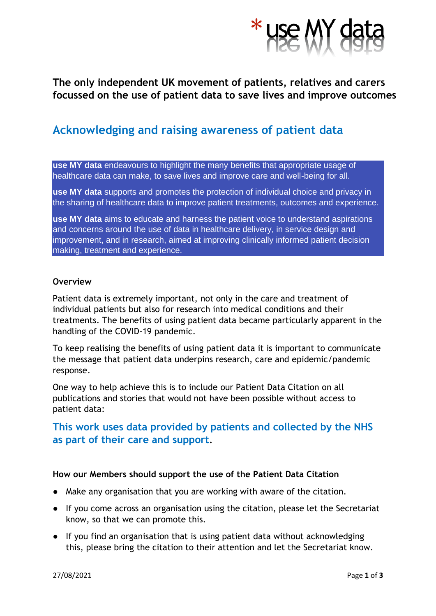

## **The only independent UK movement of patients, relatives and carers focussed on the use of patient data to save lives and improve outcomes**

# **Acknowledging and raising awareness of patient data**

**use MY data** endeavours to highlight the many benefits that appropriate usage of healthcare data can make, to save lives and improve care and well-being for all.

**use MY data** supports and promotes the protection of individual choice and privacy in the sharing of healthcare data to improve patient treatments, outcomes and experience.

**use MY data** aims to educate and harness the patient voice to understand aspirations and concerns around the use of data in healthcare delivery, in service design and improvement, and in research, aimed at improving clinically informed patient decision making, treatment and experience.

### **Overview**

Patient data is extremely important, not only in the care and treatment of individual patients but also for research into medical conditions and their treatments. The benefits of using patient data became particularly apparent in the handling of the COVID-19 pandemic.

To keep realising the benefits of using patient data it is important to communicate the message that patient data underpins research, care and epidemic/pandemic response.

One way to help achieve this is to include our Patient Data Citation on all publications and stories that would not have been possible without access to patient data:

## **This work uses data provided by patients and collected by the NHS as part of their care and support**.

## **How our Members should support the use of the Patient Data Citation**

- Make any organisation that you are working with aware of the citation.
- If you come across an organisation using the citation, please let the Secretariat know, so that we can promote this.
- If you find an organisation that is using patient data without acknowledging this, please bring the citation to their attention and let the Secretariat know.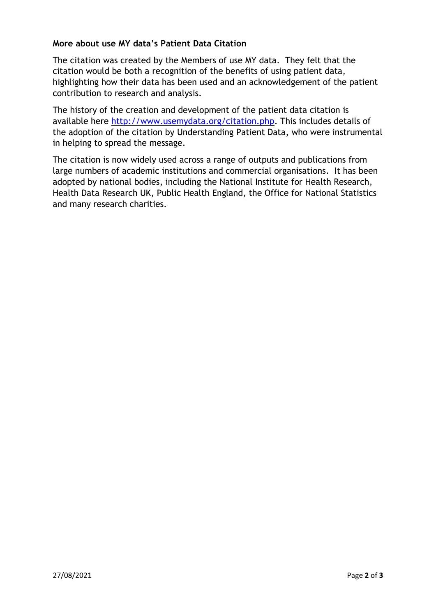## **More about use MY data's Patient Data Citation**

The citation was created by the Members of use MY data. They felt that the citation would be both a recognition of the benefits of using patient data, highlighting how their data has been used and an acknowledgement of the patient contribution to research and analysis.

The history of the creation and development of the patient data citation is available here [http://www.usemydata.org/citation.php.](http://www.usemydata.org/citation.php) This includes details of the adoption of the citation by Understanding Patient Data, who were instrumental in helping to spread the message.

The citation is now widely used across a range of outputs and publications from large numbers of academic institutions and commercial organisations. It has been adopted by national bodies, including the National Institute for Health Research, Health Data Research UK, Public Health England, the Office for National Statistics and many research charities.